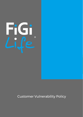

Customer Vulnerability Policy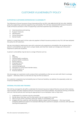

# CUSTOMER VULNERABILITY POLICY

## SUPPORTING CUSTOMERS EXPERIENCING VULNERABILITY

The following is Future Insurance Group International Pty Ltd (FiGi Life) (ABN 68 619 183 149, AFSL 506558) policy for supporting customers experiencing vulnerability. FiGi Life have adopted 2020 General Insurance Code of Practice provision in Part 9: Supporting customers experiencing vulnerability, with:

- Internal policies and training
- Support measures
- **Identification**
- Using interpreters
- Mental health

Whilst it is noted that part 9 of the code only applies to Retail Insurance products only, FiGi LIfe have adopted the policy for all Customers:

We are committed to taking extra care with customers who experience vulnerability. We recognise that a person's vulnerabilities can give rise to unique needs, and that their needs can change over time and in response to particular situations.

A person's vulnerability may be due to a range of factors such as:

- 1. age;
- 2. disability;
- 3. mental health conditions;
- 4. physical health conditions;
- 5. family violence;
- 6. language barriers;
- 7. literacy barriers;
- 8. cultural background;
- 9. Aboriginal or Torres Strait Islander status:
- 10. remote location; or
- 11. financial distress.

We encourage our customers to tell us about their vulnerability so that we can work with them to arrange support — otherwise, there is a risk that we may not find out about it.

If a customer is experiencing Vulnerability due to Financial Hardship, we address this separately under our Financial Hardship Policy.

### INTERNAL POLICIES AND TRAINING

FiGi Life has arranged for all staff to undertake the General Insurance Code of Practice annual online training with Australian and New Zealand Institute of Insurance and Finance (ANZIIF). The external training combined with our internal policies and training are appropriate to our employees' roles to help them:

- 1. understand if a customer may be vulnerable;
- 2. decide about how best, and to what extent, we can support the customer;
- 3. take account of the customers' particular needs or vulnerability; and
- 4. engage with the customer with sensitivity, dignity, respect and compassion this may include arranging additional support, for example referring the customer to people, or services, with specialist training and experience.